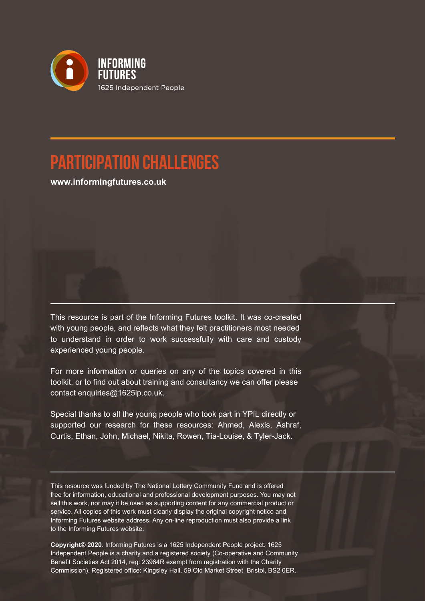

### **participation Challenges**

**www.informingfutures.co.uk**

This resource is part of the Informing Futures toolkit. It was co-created with young people, and reflects what they felt practitioners most needed to understand in order to work successfully with care and custody experienced young people.

For more information or queries on any of the topics covered in this toolkit, or to find out about training and consultancy we can offer please contact enquiries@1625ip.co.uk.

Special thanks to all the young people who took part in YPIL directly or supported our research for these resources: Ahmed, Alexis, Ashraf, Curtis, Ethan, John, Michael, Nikita, Rowen, Tia-Louise, & Tyler-Jack.

This resource was funded by The National Lottery Community Fund and is offered free for information, educational and professional development purposes. You may not sell this work, nor may it be used as supporting content for any commercial product or service. All copies of this work must clearly display the original copyright notice and Informing Futures website address. Any on-line reproduction must also provide a link to the Informing Futures website.

**Copyright© 2020**. Informing Futures is a 1625 Independent People project. 1625 Independent People is a charity and a registered society (Co-operative and Community Benefit Societies Act 2014, reg: 23964R exempt from registration with the Charity Commission). Registered office: Kingsley Hall, 59 Old Market Street, Bristol, BS2 0ER.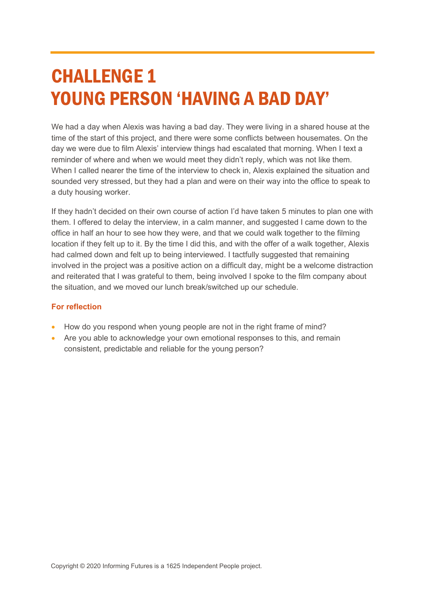## CHALLENGE 1 YOUNG PERSON 'HAVING A BAD DAY'

We had a day when Alexis was having a bad day. They were living in a shared house at the time of the start of this project, and there were some conflicts between housemates. On the day we were due to film Alexis' interview things had escalated that morning. When I text a reminder of where and when we would meet they didn't reply, which was not like them. When I called nearer the time of the interview to check in, Alexis explained the situation and sounded very stressed, but they had a plan and were on their way into the office to speak to a duty housing worker.

If they hadn't decided on their own course of action I'd have taken 5 minutes to plan one with them. I offered to delay the interview, in a calm manner, and suggested I came down to the office in half an hour to see how they were, and that we could walk together to the filming location if they felt up to it. By the time I did this, and with the offer of a walk together, Alexis had calmed down and felt up to being interviewed. I tactfully suggested that remaining involved in the project was a positive action on a difficult day, might be a welcome distraction and reiterated that I was grateful to them, being involved I spoke to the film company about the situation, and we moved our lunch break/switched up our schedule.

- How do you respond when young people are not in the right frame of mind?
- Are you able to acknowledge your own emotional responses to this, and remain consistent, predictable and reliable for the young person?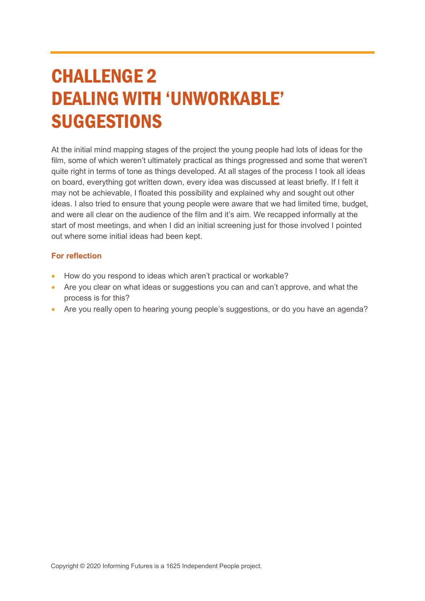## CHALLENGE 2 DEALING WITH 'UNWORKABLE' SUGGESTIONS

At the initial mind mapping stages of the project the young people had lots of ideas for the film, some of which weren't ultimately practical as things progressed and some that weren't quite right in terms of tone as things developed. At all stages of the process I took all ideas on board, everything got written down, every idea was discussed at least briefly. If I felt it may not be achievable, I floated this possibility and explained why and sought out other ideas. I also tried to ensure that young people were aware that we had limited time, budget, and were all clear on the audience of the film and it's aim. We recapped informally at the start of most meetings, and when I did an initial screening just for those involved I pointed out where some initial ideas had been kept.

- How do you respond to ideas which aren't practical or workable?
- Are you clear on what ideas or suggestions you can and can't approve, and what the process is for this?
- Are you really open to hearing young people's suggestions, or do you have an agenda?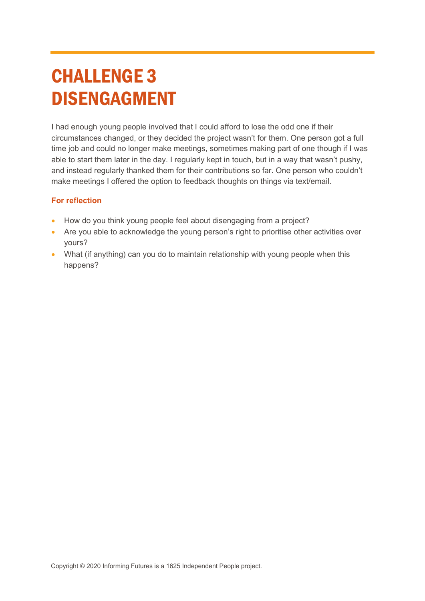# CHALLENGE 3 DISENGAGMENT

I had enough young people involved that I could afford to lose the odd one if their circumstances changed, or they decided the project wasn't for them. One person got a full time job and could no longer make meetings, sometimes making part of one though if I was able to start them later in the day. I regularly kept in touch, but in a way that wasn't pushy, and instead regularly thanked them for their contributions so far. One person who couldn't make meetings I offered the option to feedback thoughts on things via text/email.

- How do you think young people feel about disengaging from a project?
- Are you able to acknowledge the young person's right to prioritise other activities over yours?
- What (if anything) can you do to maintain relationship with young people when this happens?